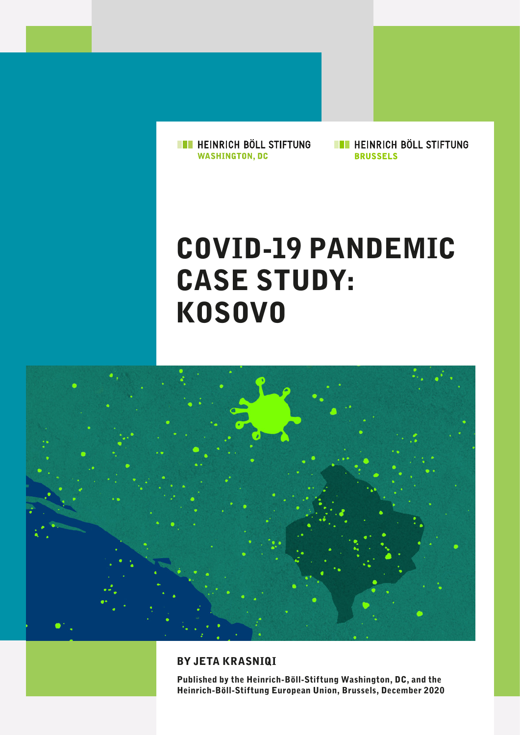**THE HEINRICH BÖLL STIFTUNG WASHINGTON, DC** 

**EXECUTE HEINRICH BÖLL STIFTUNG BRUSSELS** 

# COVID-19 PANDEMIC CASE STUDY: KOSOVO



#### BY JETA KRASNIQI

Published by the Heinrich-Böll-Stiftung Washington, DC, and the Heinrich-Böll-Stiftung European Union, Brussels, December 2020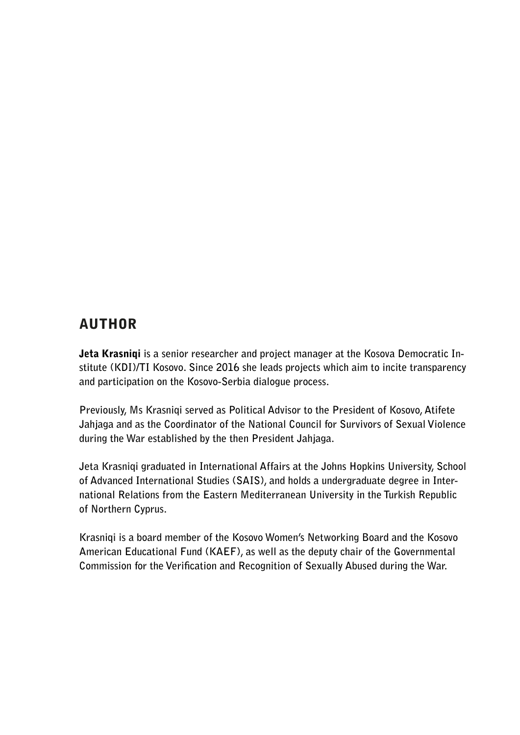### AUTHOR

Jeta Krasniqi **is a senior researcher and project manager at the Kosova Democratic Institute (KDI)/TI Kosovo. Since 2016 she leads projects which aim to incite transparency and participation on the Kosovo-Serbia dialogue process.** 

**Previously, Ms Krasniqi served as Political Advisor to the President of Kosovo, Atifete Jahjaga and as the Coordinator of the National Council for Survivors of Sexual Violence during the War established by the then President Jahjaga.** 

**Jeta Krasniqi graduated in International Affairs at the Johns Hopkins University, School of Advanced International Studies (SAIS), and holds a undergraduate degree in International Relations from the Eastern Mediterranean University in the Turkish Republic of Northern Cyprus.**

**Krasniqi is a board member of the Kosovo Women's Networking Board and the Kosovo American Educational Fund (KAEF), as well as the deputy chair of the Governmental Commission for the Verification and Recognition of Sexually Abused during the War.**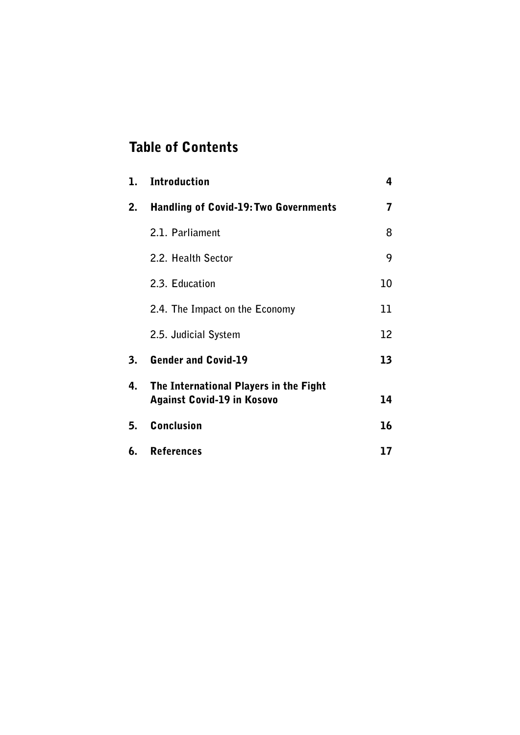### Table of Contents

| 1. | <b>Introduction</b>                                                         | 4  |
|----|-----------------------------------------------------------------------------|----|
| 2. | <b>Handling of Covid-19: Two Governments</b>                                | 7  |
|    | 2.1. Parliament                                                             | 8  |
|    | 2.2. Health Sector                                                          | 9  |
|    | 2.3. Education                                                              | 10 |
|    | 2.4. The Impact on the Economy                                              | 11 |
|    | 2.5. Judicial System                                                        | 12 |
| 3. | <b>Gender and Covid-19</b>                                                  | 13 |
| 4. | The International Players in the Fight<br><b>Against Covid-19 in Kosovo</b> | 14 |
|    | 5. Conclusion                                                               | 16 |
|    | 6. References                                                               | 17 |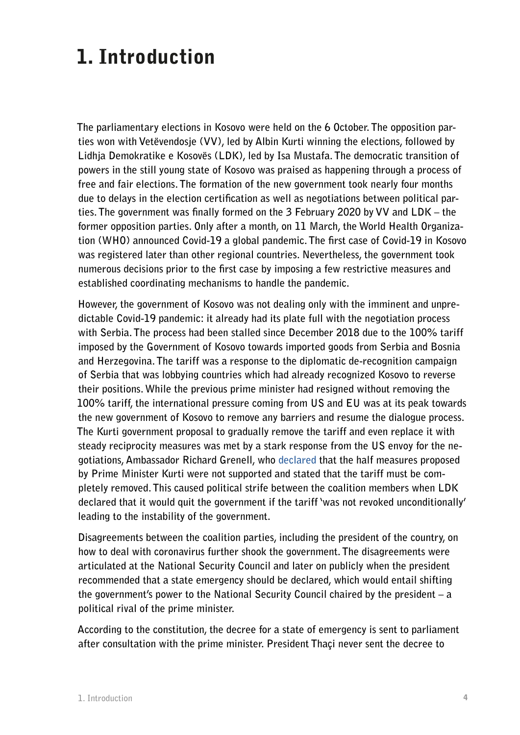# 1. Introduction

**The parliamentary elections in Kosovo were held on the 6 October. The opposition parties won with Vetëvendosje (VV), led by Albin Kurti winning the elections, followed by Lidhja Demokratike e Kosovës (LDK), led by Isa Mustafa. The democratic transition of powers in the still young state of Kosovo was praised as happening through a process of free and fair elections. The formation of the new government took nearly four months due to delays in the election certification as well as negotiations between political parties. The government was finally formed on the 3 February 2020 by VV and LDK – the former opposition parties. Only after a month, on 11 March, the World Health Organization (WHO) announced Covid-19 a global pandemic. The first case of Covid-19 in Kosovo was registered later than other regional countries. Nevertheless, the government took numerous decisions prior to the first case by imposing a few restrictive measures and established coordinating mechanisms to handle the pandemic.** 

**However, the government of Kosovo was not dealing only with the imminent and unpredictable Covid-19 pandemic: it already had its plate full with the negotiation process with Serbia. The process had been stalled since December 2018 due to the 100% tariff imposed by the Government of Kosovo towards imported goods from Serbia and Bosnia and Herzegovina. The tariff was a response to the diplomatic de-recognition campaign of Serbia that was lobbying countries which had already recognized Kosovo to reverse their positions. While the previous prime minister had resigned without removing the 100% tariff, the international pressure coming from US and EU was at its peak towards the new government of Kosovo to remove any barriers and resume the dialogue process. The Kurti government proposal to gradually remove the tariff and even replace it with steady reciprocity measures was met by a stark response from the US envoy for the negotiations, Ambassador Richard Grenell, who [declared](https://twitter.com/RichardGrenell/status/1233156712720424960) that the half measures proposed by Prime Minister Kurti were not supported and stated that the tariff must be completely removed. This caused political strife between the coalition members when LDK declared that it would quit the government if the tariff 'was not revoked unconditionally' leading to the instability of the government.** 

**Disagreements between the coalition parties, including the president of the country, on how to deal with coronavirus further shook the government. The disagreements were articulated at the National Security Council and later on publicly when the president recommended that a state emergency should be declared, which would entail shifting the government's power to the National Security Council chaired by the president – a political rival of the prime minister.**

**According to the constitution, the decree for a state of emergency is sent to parliament after consultation with the prime minister. President Thaçi never sent the decree to**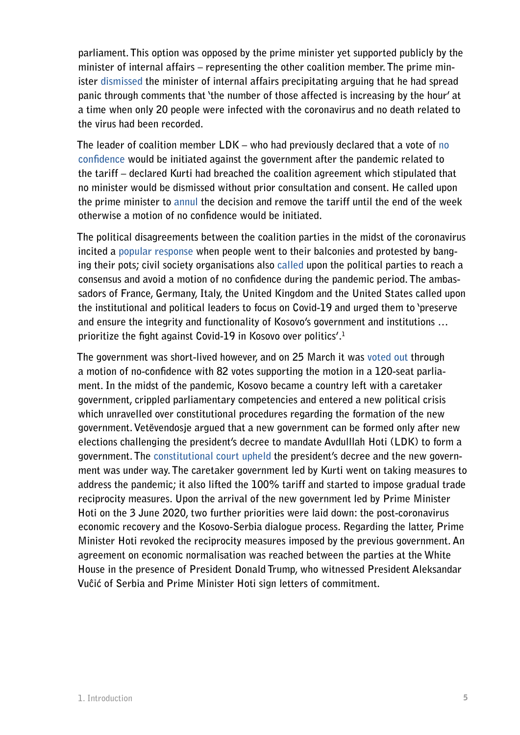**parliament. This option was opposed by the prime minister yet supported publicly by the minister of internal affairs – representing the other coalition member. The prime minister [dismissed](https://kryeministri-ks.net/en/kryeministri-kurti-emeron-znj-nita-shala-zevendesministre-ne-ministrine-e-drejtesise/) the minister of internal affairs precipitating arguing that he had spread panic through comments that 'the number of those affected is increasing by the hour' at a time when only 20 people were infected with the coronavirus and no death related to the virus had been recorded.**

**The leader of coalition member LDK – who had previously declared that a vote of [no](https://balkaninsight.com/2020/03/19/kosovos-crisis-hit-govt-threatened-with-no-confidence-vote/)  [confidence](https://balkaninsight.com/2020/03/19/kosovos-crisis-hit-govt-threatened-with-no-confidence-vote/) would be initiated against the government after the pandemic related to the tariff – declared Kurti had breached the coalition agreement which stipulated that no minister would be dismissed without prior consultation and consent. He called upon the prime minister to [annul](https://www.facebook.com/IsaMustafaKS/posts/2780638425335710) the decision and remove the tariff until the end of the week otherwise a motion of no confidence would be initiated.** 

**The political disagreements between the coalition parties in the midst of the coronavirus incited a [popular response](https://www.rferl.org/a/confined-indoors-pristina-protesters-bang-pots-from-balconies/30499846.html) when people went to their balconies and protested by banging their pots; civil society organisations also [called](https://kdi-kosova.org/aktivitetet/leter-e-hapur-nga-organizatat-e-shoqerise-civile/) upon the political parties to reach a consensus and avoid a motion of no confidence during the pandemic period. The ambassadors of France, Germany, Italy, the United Kingdom and the United States called upon the institutional and political leaders to focus on Covid-19 and urged them to 'preserve and ensure the integrity and functionality of Kosovo's government and institutions … prioritize the fight against Covid-19 in Kosovo over politics'.1**

**The government was short-lived however, and on 25 March it was [voted out](https://uk.reuters.com/article/us-kosovo-government/kosovo-lawmakers-dismiss-government-in-no-confidence-vote-idUSKBN21C3OO) through a motion of no-confidence with 82 votes supporting the motion in a 120-seat parliament. In the midst of the pandemic, Kosovo became a country left with a caretaker government, crippled parliamentary competencies and entered a new political crisis which unravelled over constitutional procedures regarding the formation of the new government. Vetëvendosje argued that a new government can be formed only after new elections challenging the president's decree to mandate Avdulllah Hoti (LDK) to form a government. The [constitutional court upheld](https://www.rferl.org/a/thousands-practice-protest-in-kosovo-ahead-of-constitutional-court-verdict/30640256.html) the president's decree and the new government was under way. The caretaker government led by Kurti went on taking measures to address the pandemic; it also lifted the 100% tariff and started to impose gradual trade reciprocity measures. Upon the arrival of the new government led by Prime Minister Hoti on the 3 June 2020, two further priorities were laid down: the post-coronavirus economic recovery and the Kosovo-Serbia dialogue process. Regarding the latter, Prime Minister Hoti revoked the reciprocity measures imposed by the previous government. An agreement on economic normalisation was reached between the parties at the White House in the presence of President Donald Trump, who witnessed President Aleksandar Vucic of Serbia and Prime Minister Hoti sign letters of commitment.**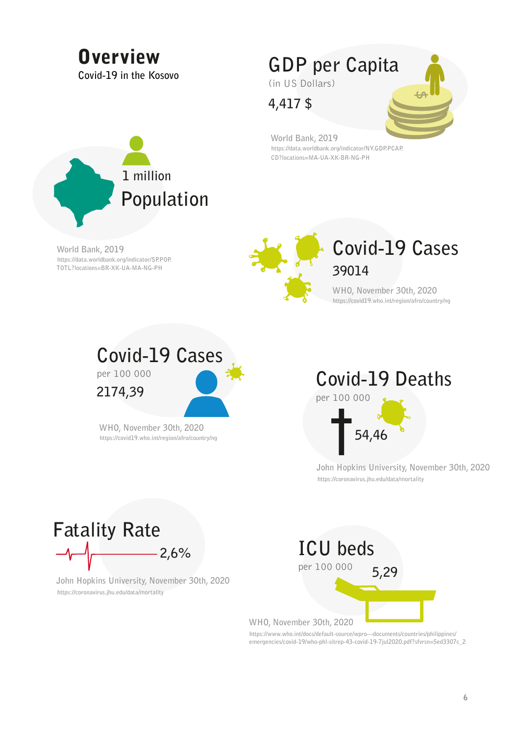## **Overview**

**Covid-19 in the Kosovo**

**GDP per Capita** (in US Dollars)

**4,417 \$**

**World Bank, 2019 [https://data.worldbank.org/indicator/NY.GDP.PCAP.](https://data.worldbank.org/indicator/NY.GDP.PCAP.CD?locations=MA-UA-XK-BR-NG-PH ) [CD?locations=MA-UA-XK-BR-NG-PH](https://data.worldbank.org/indicator/NY.GDP.PCAP.CD?locations=MA-UA-XK-BR-NG-PH )** 



**World Bank, 2019 [https://data.worldbank.org/indicator/SP.POP.](https://data.worldbank.org/indicator/SP.POP.TOTL?locations=BR-XK-UA-MA-NG-PH) [TOTL?locations=BR-XK-UA-MA-NG-PH](https://data.worldbank.org/indicator/SP.POP.TOTL?locations=BR-XK-UA-MA-NG-PH)**



# **Covid-19 Cases 39014**

**WHO, November 30th, 2020 <https://covid19.who.int/region/afro/country/ng>**



**WHO, November 30th, 2020 <https://covid19.who.int/region/afro/country/ng>** **Covid-19 Deaths**  per 100 000



**John Hopkins University, November 30th, 2020 [https://coronavirus.jhu.edu/data/mortality](https://coronavirus.jhu.edu/data/mortality )** 



**John Hopkins University, November 30th, 2020 [https://coronavirus.jhu.edu/data/mortality](https://coronavirus.jhu.edu/data/mortality )** 



**[https://www.who.int/docs/default-source/wpro---documents/countries/philippines/](https://www.who.int/docs/default-source/wpro---documents/countries/philippines/emergencies/covid-19/) [emergencies/covid-19/who-phl-sitrep-43-covid-19-7jul2020.pdf?sfvrsn=5ed3307c\\_2](https://www.who.int/docs/default-source/wpro---documents/countries/philippines/emergencies/covid-19/)**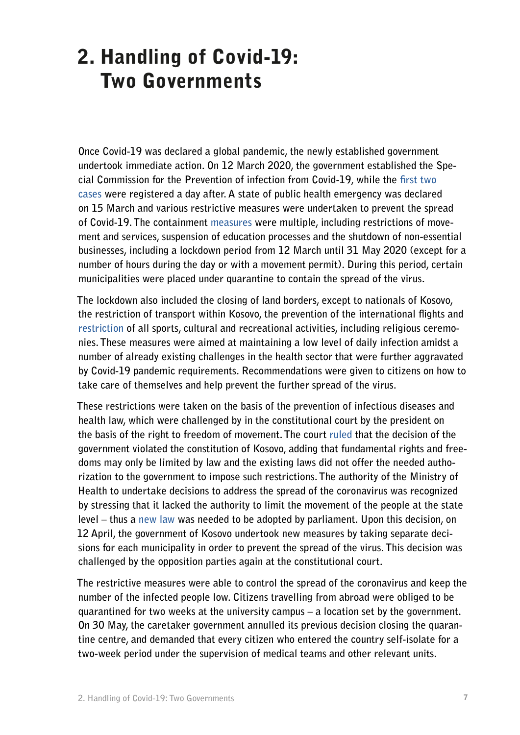# 2. Handling of Covid-19: Two Governments

**Once Covid-19 was declared a global pandemic, the newly established government undertook immediate action. On 12 March 2020, the government established the Special Commission for the Prevention of infection from Covid-19, while the [first two](https://www.reuters.com/article/us-health-coronavirus-kosovo/kosovo-confirms-first-coronavirus-cases-an-italian-and-a-kosovar-idUSKBN21039A)  [cases](https://www.reuters.com/article/us-health-coronavirus-kosovo/kosovo-confirms-first-coronavirus-cases-an-italian-and-a-kosovar-idUSKBN21039A) were registered a day after. A state of public health emergency was declared on 15 March and various restrictive measures were undertaken to prevent the spread of Covid-19. The containment [measures](https://www.amchamksv.org/wp-content/uploads/2020/07/Recap-The-Economic-Impact-of-COVID19-in-Kosovo.pdf) were multiple, including restrictions of movement and services, suspension of education processes and the shutdown of non-essential businesses, including a lockdown period from 12 March until 31 May 2020 (except for a number of hours during the day or with a movement permit). During this period, certain municipalities were placed under quarantine to contain the spread of the virus.** 

**The lockdown also included the closing of land borders, except to nationals of Kosovo, the restriction of transport within Kosovo, the prevention of the international flights and [restriction](http://www.civikos.net/repository/docs/Raporti_Dy_Qeveri_-_Nje_Pandemi_536198.pdf?fbclid=IwAR0ZtHh6YxcLII8l3wqiSB2c-gjf4pbTmIE937h1lyoPjQlaX5pl-ojGk44) of all sports, cultural and recreational activities, including religious ceremonies. These measures were aimed at maintaining a low level of daily infection amidst a number of already existing challenges in the health sector that were further aggravated by Covid-19 pandemic requirements. Recommendations were given to citizens on how to take care of themselves and help prevent the further spread of the virus.** 

**These restrictions were taken on the basis of the prevention of infectious diseases and health law, which were challenged by in the constitutional court by the president on the basis of the right to freedom of movement. The court [ruled](https://www.gjk-ks.org/wp-content/uploads/2020/04/ko_54_20_agj_ang.pdf) that the decision of the government violated the constitution of Kosovo, adding that fundamental rights and freedoms may only be limited by law and the existing laws did not offer the needed authorization to the government to impose such restrictions. The authority of the Ministry of Health to undertake decisions to address the spread of the coronavirus was recognized by stressing that it lacked the authority to limit the movement of the people at the state level – thus a [new law](http://ohrh.law.ox.ac.uk/kosovos-constitutional-court-finds-covid-19-measures-unconstitutional/) was needed to be adopted by parliament. Upon this decision, on 12 April, the government of Kosovo undertook new measures by taking separate decisions for each municipality in order to prevent the spread of the virus. This decision was challenged by the opposition parties again at the constitutional court.**

**The restrictive measures were able to control the spread of the coronavirus and keep the number of the infected people low. Citizens travelling from abroad were obliged to be quarantined for two weeks at the university campus – a location set by the government. On 30 May, the caretaker government annulled its previous decision closing the quarantine centre, and demanded that every citizen who entered the country self-isolate for a two-week period under the supervision of medical teams and other relevant units.**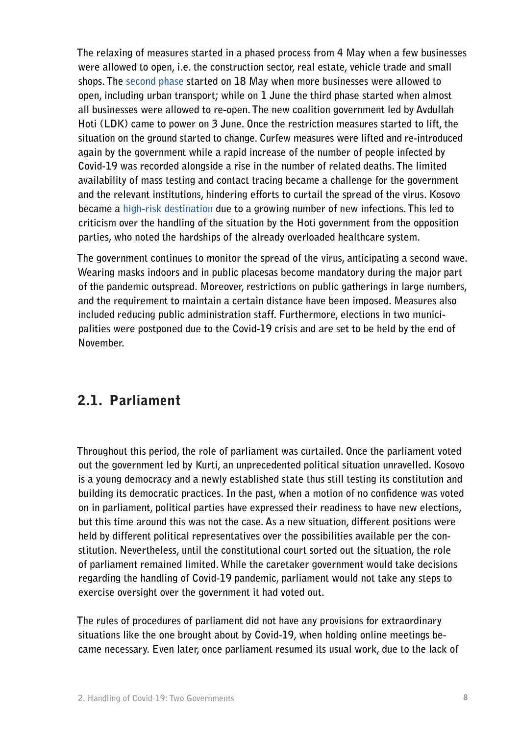**The relaxing of measures started in a phased process from 4 May when a few businesses were allowed to open, i.e. the construction sector, real estate, vehicle trade and small shops. The [second phase](https://www.imf.org/en/Topics/imf-and-covid19/Policy-Responses-to-COVID-19#K) started on 18 May when more businesses were allowed to open, including urban transport; while on 1 June the third phase started when almost all businesses were allowed to re-open. The new coalition government led by Avdullah Hoti (LDK) came to power on 3 June. Once the restriction measures started to lift, the situation on the ground started to change. Curfew measures were lifted and re-introduced again by the government while a rapid increase of the number of people infected by Covid-19 was recorded alongside a rise in the number of related deaths. The limited availability of mass testing and contact tracing became a challenge for the government and the relevant institutions, hindering efforts to curtail the spread of the virus. Kosovo became a [high-risk destination](https://wwwnc.cdc.gov/travel/notices/covid-4/coronavirus-kosovo) due to a growing number of new infections. This led to criticism over the handling of the situation by the Hoti government from the opposition parties, who noted the hardships of the already overloaded healthcare system.**

**The government continues to monitor the spread of the virus, anticipating a second wave. Wearing masks indoors and in public placesas become mandatory during the major part of the pandemic outspread. Moreover, restrictions on public gatherings in large numbers, and the requirement to maintain a certain distance have been imposed. Measures also included reducing public administration staff. Furthermore, elections in two municipalities were postponed due to the Covid-19 crisis and are set to be held by the end of November.**

### 2.1. Parliament

**Throughout this period, the role of parliament was curtailed. Once the parliament voted out the government led by Kurti, an unprecedented political situation unravelled. Kosovo is a young democracy and a newly established state thus still testing its constitution and building its democratic practices. In the past, when a motion of no confidence was voted on in parliament, political parties have expressed their readiness to have new elections, but this time around this was not the case. As a new situation, different positions were held by different political representatives over the possibilities available per the constitution. Nevertheless, until the constitutional court sorted out the situation, the role of parliament remained limited. While the caretaker government would take decisions regarding the handling of Covid-19 pandemic, parliament would not take any steps to exercise oversight over the government it had voted out.** 

**The rules of procedures of parliament did not have any provisions for extraordinary situations like the one brought about by Covid-19, when holding online meetings became necessary. Even later, once parliament resumed its usual work, due to the lack of**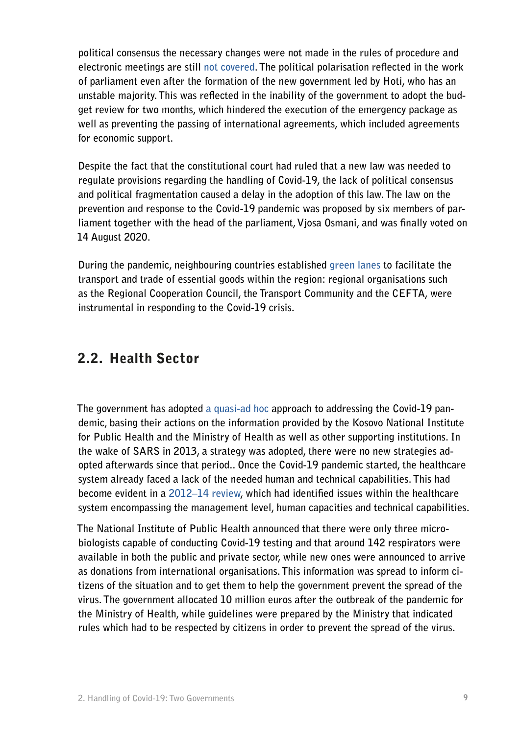**political consensus the necessary changes were not made in the rules of procedure and electronic meetings are still [not covered.](http://kdi-kosova.org/en/activities/kdi-the-work-of-the-assembly-pledge-of-the-fragile-parliamentary-majority/) The political polarisation reflected in the work of parliament even after the formation of the new government led by Hoti, who has an unstable majority. This was reflected in the inability of the government to adopt the budget review for two months, which hindered the execution of the emergency package as well as preventing the passing of international agreements, which included agreements for economic support.** 

**Despite the fact that the constitutional court had ruled that a new law was needed to regulate provisions regarding the handling of Covid-19, the lack of political consensus and political fragmentation caused a delay in the adoption of this law. The law on the prevention and response to the Covid-19 pandemic was proposed by six members of parliament together with the head of the parliament, Vjosa Osmani, and was finally voted on 14 August 2020.** 

**During the pandemic, neighbouring countries established [green lanes](https://ec.europa.eu/neighbourhood-enlargement/sites/near/files/kosovo_report_2020.pdf) to facilitate the transport and trade of essential goods within the region: regional organisations such as the Regional Cooperation Council, the Transport Community and the CEFTA, were instrumental in responding to the Covid-19 crisis.** 

### 2.2. Health Sector

**The government has adopted [a quasi-ad hoc](https://europeanwesternbalkans.com/2020/04/28/kosovo-was-not-adequately-prepared-for-the-pandemic/) approach to addressing the Covid-19 pandemic, basing their actions on the information provided by the Kosovo National Institute for Public Health and the Ministry of Health as well as other supporting institutions. In the wake of SARS in 2013, a strategy was adopted, there were no new strategies adopted afterwards since that period.. Once the Covid-19 pandemic started, the healthcare system already faced a lack of the needed human and technical capabilities. This had become evident in a [2012–14 review](https://europeanwesternbalkans.com/2020/04/28/kosovo-was-not-adequately-prepared-for-the-pandemic/), which had identified issues within the healthcare system encompassing the management level, human capacities and technical capabilities.**

**The National Institute of Public Health announced that there were only three microbiologists capable of conducting Covid-19 testing and that around 142 respirators were available in both the public and private sector, while new ones were announced to arrive as donations from international organisations. This information was spread to inform citizens of the situation and to get them to help the government prevent the spread of the virus. The government allocated 10 million euros after the outbreak of the pandemic for the Ministry of Health, while guidelines were prepared by the Ministry that indicated rules which had to be respected by citizens in order to prevent the spread of the virus.**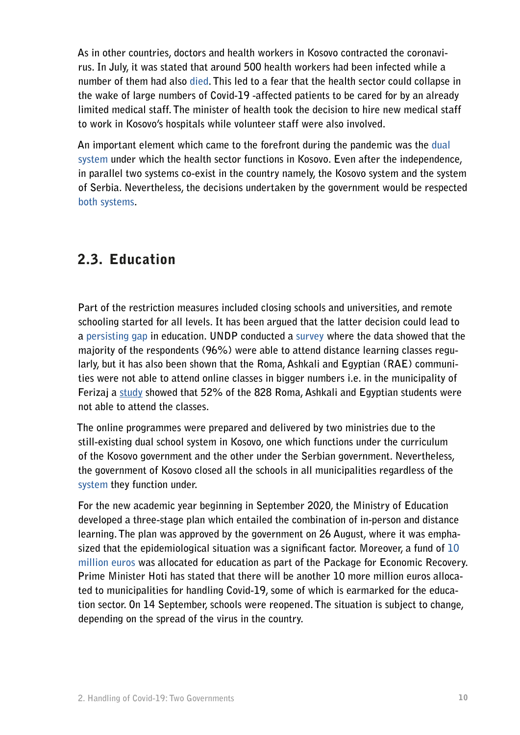**As in other countries, doctors and health workers in Kosovo contracted the coronavirus. In July, it was stated that around 500 health workers had been infected while a number of them had also [died.](https://prishtinainsight.com/covid-19-puts-strain-on-kosovo-health-system/) This led to a fear that the health sector could collapse in the wake of large numbers of Covid-19 -affected patients to be cared for by an already limited medical staff. The minister of health took the decision to hire new medical staff to work in Kosovo's hospitals while volunteer staff were also involved.**

**An important element which came to the forefront during the pandemic was the [dual](https://www.new-perspektiva.com/sq/shendetesia-paralele-ne-veri-te-kosoves/)  [system](https://www.new-perspektiva.com/sq/shendetesia-paralele-ne-veri-te-kosoves/) under which the health sector functions in Kosovo. Even after the independence, in parallel two systems co-exist in the country namely, the Kosovo system and the system of Serbia. Nevertheless, the decisions undertaken by the government would be respected [both systems.](https://idmalbania.org/tales-of-region-kosovo/)** 

### 2.3. Education

**Part of the restriction measures included closing schools and universities, and remote schooling started for all levels. It has been argued that the latter decision could lead to a [persisting gap](http://www.legalpoliticalstudies.org/wp-content/uploads/2020/10/PolicyAnalysis_MLT_.pdf) in education. UNDP conducted a [survey](https://www.ks.undp.org/content/kosovo/en/home/presscenter/pressreleases/2020/06/10/un-kosovo-team-report-reveals-the-covid-19-impact.html) where the data showed that the majority of the respondents (96%) were able to attend distance learning classes regularly, but it has also been shown that the Roma, Ashkali and Egyptian (RAE) communities were not able to attend online classes in bigger numbers i.e. in the municipality of Ferizaj a [study](C:\Users\Hp\Downloads\<http:\admovere.org\wp-content\uploads\2020\07\ENG-_-Sfidat-ekomunitetit-rom-ashkali-dhe-egjiptian-ne-kosove-gjate-pandemise-COVID-19-ENG-02-1.pdf) showed that 52% of the 828 Roma, Ashkali and Egyptian students were not able to attend the classes.** 

**The online programmes were prepared and delivered by two ministries due to the still-existing dual school system in Kosovo, one which functions under the curriculum of the Kosovo government and the other under the Serbian government. Nevertheless, the government of Kosovo closed all the schools in all municipalities regardless of the [system](https://idmalbania.org/tales-of-region-kosovo/) they function under.**

**For the new academic year beginning in September 2020, the Ministry of Education developed a three-stage plan which entailed the combination of in-person and distance learning. The plan was approved by the government on 26 August, where it was emphasized that the epidemiological situation was a significant factor. Moreover, a fund of [10](https://www.aa.com.tr/sq/ballkani/qeveria-e-kosov%C3%ABs-miraton-planin-p%C3%ABr-fillimin-e-vitit-t%C3%AB-ri-shkollor/1954204)  [million euros](https://www.aa.com.tr/sq/ballkani/qeveria-e-kosov%C3%ABs-miraton-planin-p%C3%ABr-fillimin-e-vitit-t%C3%AB-ri-shkollor/1954204) was allocated for education as part of the Package for Economic Recovery. Prime Minister Hoti has stated that there will be another 10 more million euros allocated to municipalities for handling Covid-19, some of which is earmarked for the education sector. On 14 September, schools were reopened. The situation is subject to change, depending on the spread of the virus in the country.**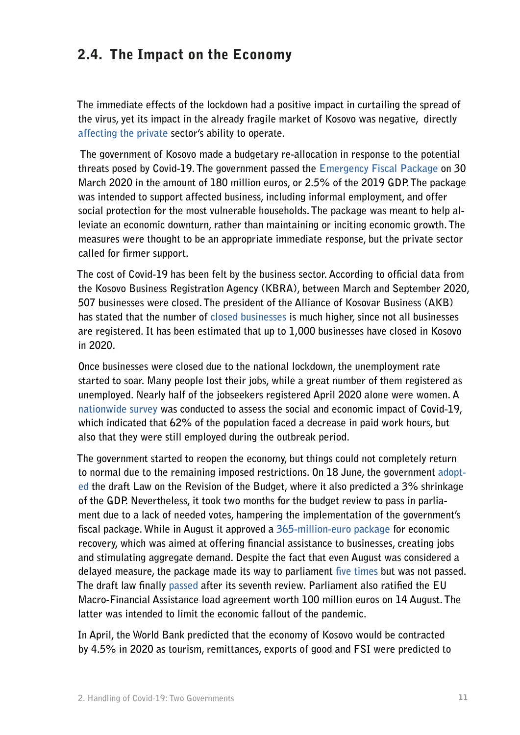### 2.4. The Impact on the Economy

**The immediate effects of the lockdown had a positive impact in curtailing the spread of the virus, yet its impact in the already fragile market of Kosovo was negative, directly [affecting the private](https://www.amchamksv.org/wp-content/uploads/2020/07/Recap-The-Economic-Impact-of-COVID19-in-Kosovo.pdf) sector's ability to operate.**

 **The government of Kosovo made a budgetary re-allocation in response to the potential threats posed by Covid-19. The government passed the [Emergency Fiscal Package](http://kdi-kosova.org/wp-content/uploads/2020/08/50-Analiz%C3%AB-e-Shkurt%C3%ABr-e-Pakos-Fiskale-Emergjente-ALB-02.pdf) on 30 March 2020 in the amount of 180 million euros, or 2.5% of the 2019 GDP. The package was intended to support affected business, including informal employment, and offer social protection for the most vulnerable households. The package was meant to help alleviate an economic downturn, rather than maintaining or inciting economic growth. The measures were thought to be an appropriate immediate response, but the private sector called for firmer support.**

**The cost of Covid-19 has been felt by the business sector. According to official data from the Kosovo Business Registration Agency (KBRA), between March and September 2020, 507 businesses were closed. The president of the Alliance of Kosovar Business (AKB) has stated that the number of [closed businesses](https://prishtinainsight.com/a-year-of-big-losses-mag/) is much higher, since not all businesses are registered. It has been estimated that up to 1,000 businesses have closed in Kosovo in 2020.** 

**Once businesses were closed due to the national lockdown, the unemployment rate started to soar. Many people lost their jobs, while a great number of them registered as unemployed. Nearly half of the jobseekers registered April 2020 alone were women. A [nationwide survey](https://www2.unwomen.org/-/media/field office eca/attachments/publications/2020/07/factsheet-kosovo-fin-min.pdf?la=en&vs=1209) was conducted to assess the social and economic impact of Covid-19, which indicated that 62% of the population faced a decrease in paid work hours, but also that they were still employed during the outbreak period.**

**The government started to reopen the economy, but things could not completely return to normal due to the remaining imposed restrictions. On 18 June, the government [adopt](https://kryeministri-ks.net/en/the-government-adopts-the-draft-law-on-the-revision-of-the-2020-budget/)[ed](https://kryeministri-ks.net/en/the-government-adopts-the-draft-law-on-the-revision-of-the-2020-budget/) the draft Law on the Revision of the Budget, where it also predicted a 3% shrinkage of the GDP. Nevertheless, it took two months for the budget review to pass in parliament due to a lack of needed votes, hampering the implementation of the government's fiscal package. While in August it approved a [365-million-euro package](https://kryeministri-ks.net/en/the-government-approves-the-plan-for-the-implementation-of-the-economic-recovery/) for economic recovery, which was aimed at offering financial assistance to businesses, creating jobs and stimulating aggregate demand. Despite the fact that even August was considered a delayed measure, the package made its way to parliament [five times](https://prishtinainsight.com/the-kosovo-assembly-isnt-working/?fbclid=IwAR2QOWHDsgQnhlWPa8jqUNwSjeNgscZnuLfm1pzYqF4Gqv8d38HlMvuj6QI) but was not passed. The draft law finally [passed](https://exit.al/en/2020/10/12/kosovo-passes-the-draft-law-on-economy-recovery-on-its-seventh-attempt/) after its seventh review. Parliament also ratified the EU Macro-Financial Assistance load agreement worth 100 million euros on 14 August. The latter was intended to limit the economic fallout of the pandemic.**

**In April, the World Bank predicted that the economy of Kosovo would be contracted by 4.5% in 2020 as tourism, remittances, exports of good and FSI were predicted to**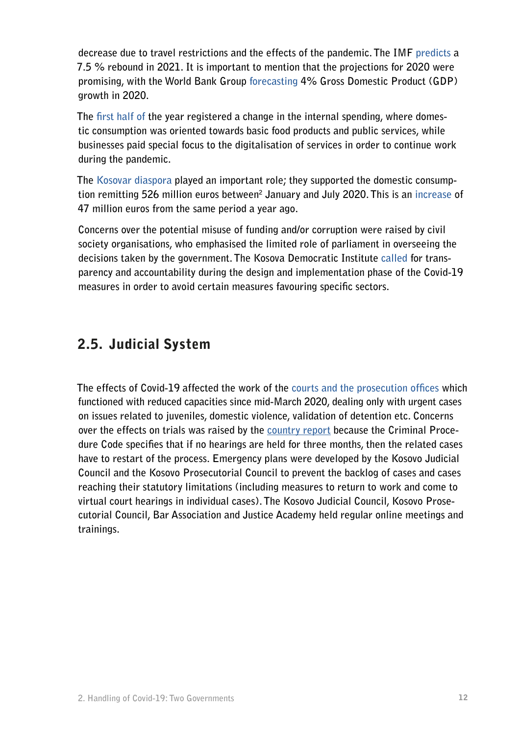**decrease due to travel restrictions and the effects of the pandemic. The IMF [predicts](http://www.imf.org/en/Publications/WEO/Issues/2020/04/14/weo-april-2020) a 7.5 % rebound in 2021. It is important to mention that the projections for 2020 were promising, with the World Bank Group [forecasting](http://www.documents.worldbank.org/curated/en/457181588085856454/pdf/The-Economic-and-Social-Impact-ofCOVID-19-The-Country-Notes.pdf) 4% Gross Domestic Product (GDP) growth in 2020.** 

**The [first half of](https://www.institutigap.org/documents/56237_ImpactofCovvidonKosovosEconomy.pdf) the year registered a change in the internal spending, where domestic consumption was oriented towards basic food products and public services, while businesses paid special focus to the digitalisation of services in order to continue work during the pandemic.**

**The [Kosovar diaspora](https://balkaninsight.com/2020/05/22/kosovo-economy-faces-fresh-hit-if-diaspora-stays-away/) played an important role; they supported the domestic consumption remitting 526 million euros between2 January and July 2020. This is an [increase](https://www.oecd.org/south-east-europe/COVID-19-crisis-in-Kosovo.pdf) of 47 million euros from the same period a year ago.**

**Concerns over the potential misuse of funding and/or corruption were raised by civil society organisations, who emphasised the limited role of parliament in overseeing the decisions taken by the government. The Kosova Democratic Institute [called](http://kdi-kosova.org/wp-content/uploads/2020/08/50-Analiz%C3%AB-e-Shkurt%C3%ABr-e-Pakos-Fiskale-Emergjente-ALB-02.pdf) for transparency and accountability during the design and implementation phase of the Covid-19 measures in order to avoid certain measures favouring specific sectors.**

### 2.5. Judicial System

**The effects of Covid-19 affected the work of the [courts and the prosecution offices](https://crd.org/2020/05/26/impact-of-covid-19-measures-on-human-rights-and-criminal-justice-in-western-balkans-and-turkey/) which functioned with reduced capacities since mid-March 2020, dealing only with urgent cases on issues related to juveniles, domestic violence, validation of detention etc. Concerns over the effects on trials was raised by the [country report](https://ec.europa.eu/neighbourhood-enlargement/sites/near/files/kosovo_report_2020.pdf,) because the Criminal Procedure Code specifies that if no hearings are held for three months, then the related cases have to restart of the process. Emergency plans were developed by the Kosovo Judicial Council and the Kosovo Prosecutorial Council to prevent the backlog of cases and cases reaching their statutory limitations (including measures to return to work and come to virtual court hearings in individual cases). The Kosovo Judicial Council, Kosovo Prosecutorial Council, Bar Association and Justice Academy held regular online meetings and trainings.**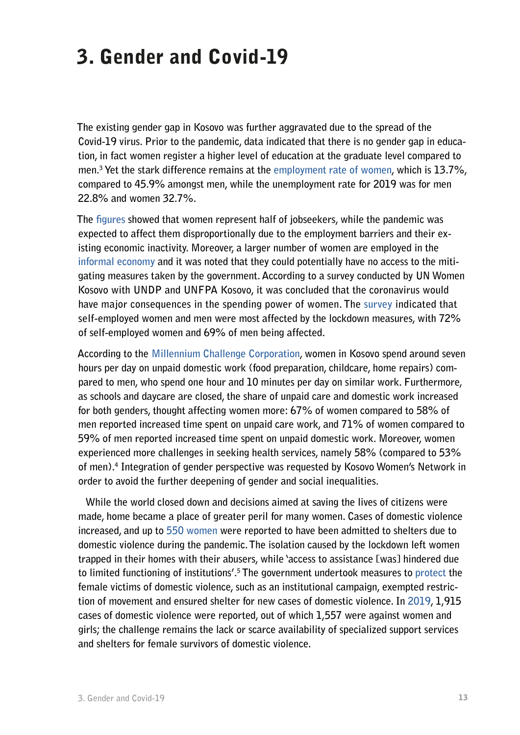# 3. Gender and Covid-19

**The existing gender gap in Kosovo was further aggravated due to the spread of the Covid-19 virus. Prior to the pandemic, data indicated that there is no gender gap in education, in fact women register a higher level of education at the graduate level compared to men.3 Yet the stark difference remains at the [employment rate of women,](https://www.institutigap.org/documents/23239_Employment of women 2019.pdf) which is 13.7%, compared to 45.9% amongst men, while the unemployment rate for 2019 was for men 22.8% and women 32.7%.** 

**The [figures](https://www.institutigap.org/documents/50161_covid_labormarket_F.pdf) showed that women represent half of jobseekers, while the pandemic was expected to affect them disproportionally due to the employment barriers and their existing economic inactivity. Moreover, a larger number of women are employed in the [informal economy](https://ec.europa.eu/neighbourhood-enlargement/sites/near/files/kosovo_report_2020.pdf) and it was noted that they could potentially have no access to the mitigating measures taken by the government. According to a survey conducted by UN Women Kosovo with UNDP and UNFPA Kosovo, it was concluded that the coronavirus would have major consequences in the spending power of women. The [survey](https://www2.unwomen.org/-/media/field office eca/attachments/publications/2020/07/factsheet-kosovo-fin-min.pdf?la=en&vs=1209) indicated that self-employed women and men were most affected by the lockdown measures, with 72% of self-employed women and 69% of men being affected.**

**According to the [Millennium Challenge Corporation](http://www.millenniumkosovo.org/wp-content/uploads/2018/11/MCC-Kosovo-Labor-Force-and-Time-Use-Study-Final-Research-Report-1.pdf), women in Kosovo spend around seven hours per day on unpaid domestic work (food preparation, childcare, home repairs) compared to men, who spend one hour and 10 minutes per day on similar work. Furthermore, as schools and daycare are closed, the share of unpaid care and domestic work increased for both genders, thought affecting women more: 67% of women compared to 58% of men reported increased time spent on unpaid care work, and 71% of women compared to 59% of men reported increased time spent on unpaid domestic work. Moreover, women experienced more challenges in seeking health services, namely 58% (compared to 53% of men).4 Integration of gender perspective was requested by Kosovo Women's Network in order to avoid the further deepening of gender and social inequalities.**

 **While the world closed down and decisions aimed at saving the lives of citizens were made, home became a place of greater peril for many women. Cases of domestic violence increased, and up to [550 women](https://www.unwomen.org/en/news/stories/2020/6/feature-survivors-receive-support-from-shelters-in-kosovo) were reported to have been admitted to shelters due to domestic violence during the pandemic. The isolation caused by the lockdown left women trapped in their homes with their abusers, while 'access to assistance [was] hindered due to limited functioning of institutions'.5 The government undertook measures to [protect](https://ec.europa.eu/neighbourhood-enlargement/sites/near/files/kosovo_report_2020.pdf) the female victims of domestic violence, such as an institutional campaign, exempted restriction of movement and ensured shelter for new cases of domestic violence. In [2019](https://d4d-ks.org/wp-content/uploads/2020/03/2020-03-25-D4D_Analize-e-politikave_8_ENG.pdf), 1,915 cases of domestic violence were reported, out of which 1,557 were against women and girls; the challenge remains the lack or scarce availability of specialized support services and shelters for female survivors of domestic violence.**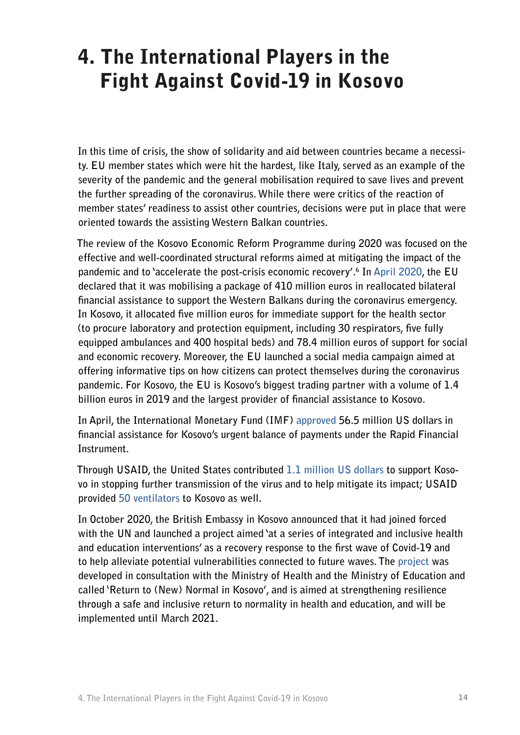# 4. The International Players in the Fight Against Covid-19 in Kosovo

**In this time of crisis, the show of solidarity and aid between countries became a necessity. EU member states which were hit the hardest, like Italy, served as an example of the severity of the pandemic and the general mobilisation required to save lives and prevent the further spreading of the coronavirus. While there were critics of the reaction of member states' readiness to assist other countries, decisions were put in place that were oriented towards the assisting Western Balkan countries.**

**The review of the Kosovo Economic Reform Programme during 2020 was focused on the effective and well-coordinated structural reforms aimed at mitigating the impact of the pandemic and to 'accelerate the post-crisis economic recovery'.6 In [April 2020](https://ec.europa.eu/neighbourhood-enlargement/sites/near/files/coronavirus_support_wb.pdf), the EU declared that it was mobilising a package of 410 million euros in reallocated bilateral financial assistance to support the Western Balkans during the coronavirus emergency. In Kosovo, it allocated five million euros for immediate support for the health sector (to procure laboratory and protection equipment, including 30 respirators, five fully equipped ambulances and 400 hospital beds) and 78.4 million euros of support for social and economic recovery. Moreover, the EU launched a social media campaign aimed at offering informative tips on how citizens can protect themselves during the coronavirus pandemic. For Kosovo, the EU is Kosovo's biggest trading partner with a volume of 1.4 billion euros in 2019 and the largest provider of financial assistance to Kosovo.**

**In April, the International Monetary Fund (IMF) [approved](https://www.imf.org/en/News/Articles/2020/04/10/pr20149-kosovo-imf-executive-board-approves-us-million-emergency-support-address-covid-19-pandemic) 56.5 million US dollars in financial assistance for Kosovo's urgent balance of payments under the Rapid Financial Instrument.**

**Through USAID, the United States contributed [1.1 million US dollars](https://www.usaid.gov/kosovo/news-information/press-releases/usaid-contributes-11-million-kosovo-support-response-covid-19) to support Kosovo in stopping further transmission of the virus and to help mitigate its impact; USAID provided [50 ventilators](https://reliefweb.int/report/serbia/united-states-provides-50-ventilators-kosovo) to Kosovo as well.** 

**In October 2020, the British Embassy in Kosovo announced that it had joined forced with the UN and launched a project aimed 'at a series of integrated and inclusive health and education interventions' as a recovery response to the first wave of Covid-19 and to help alleviate potential vulnerabilities connected to future waves. The [project](https://www.unicef.org/kosovoprogramme/press-releases/british-embassy-and-united-nations-jointly-support-kosovo-strengthening-health-and) was developed in consultation with the Ministry of Health and the Ministry of Education and called 'Return to (New) Normal in Kosovo', and is aimed at strengthening resilience through a safe and inclusive return to normality in health and education, and will be implemented until March 2021.**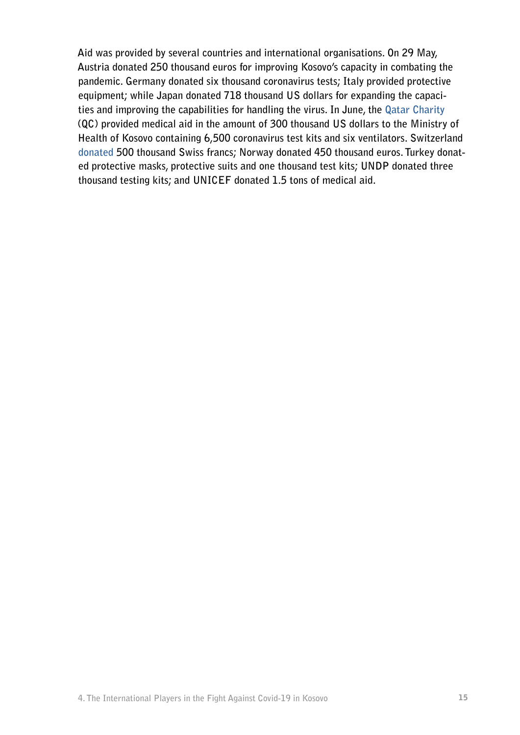**Aid was provided by several countries and international organisations. On 29 May, Austria donated 250 thousand euros for improving Kosovo's capacity in combating the pandemic. Germany donated six thousand coronavirus tests; Italy provided protective equipment; while Japan donated 718 thousand US dollars for expanding the capacities and improving the capabilities for handling the virus. In June, the [Qatar Charity](https://reliefweb.int/report/serbia/kosovo-s-ministry-health-receives-medical-aid-qatar-charity) (QC) provided medical aid in the amount of 300 thousand US dollars to the Ministry of Health of Kosovo containing 6,500 coronavirus test kits and six ventilators. Switzerland [donated](https://en.wikipedia.org/wiki/COVID-19_pandemic_in_Kosovo) 500 thousand Swiss francs; Norway donated 450 thousand euros. Turkey donated protective masks, protective suits and one thousand test kits; UNDP donated three thousand testing kits; and UNICEF donated 1.5 tons of medical aid.**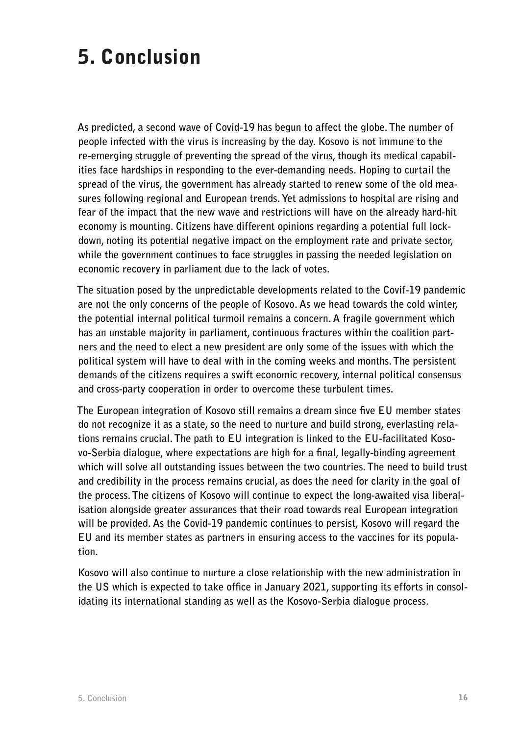# 5. Conclusion

**As predicted, a second wave of Covid-19 has begun to affect the globe. The number of people infected with the virus is increasing by the day. Kosovo is not immune to the re-emerging struggle of preventing the spread of the virus, though its medical capabilities face hardships in responding to the ever-demanding needs. Hoping to curtail the spread of the virus, the government has already started to renew some of the old measures following regional and European trends. Yet admissions to hospital are rising and fear of the impact that the new wave and restrictions will have on the already hard-hit economy is mounting. Citizens have different opinions regarding a potential full lockdown, noting its potential negative impact on the employment rate and private sector, while the government continues to face struggles in passing the needed legislation on economic recovery in parliament due to the lack of votes.**

**The situation posed by the unpredictable developments related to the Covif-19 pandemic are not the only concerns of the people of Kosovo. As we head towards the cold winter, the potential internal political turmoil remains a concern. A fragile government which has an unstable majority in parliament, continuous fractures within the coalition partners and the need to elect a new president are only some of the issues with which the political system will have to deal with in the coming weeks and months. The persistent demands of the citizens requires a swift economic recovery, internal political consensus and cross-party cooperation in order to overcome these turbulent times.**

**The European integration of Kosovo still remains a dream since five EU member states do not recognize it as a state, so the need to nurture and build strong, everlasting relations remains crucial. The path to EU integration is linked to the EU-facilitated Kosovo-Serbia dialogue, where expectations are high for a final, legally-binding agreement which will solve all outstanding issues between the two countries. The need to build trust and credibility in the process remains crucial, as does the need for clarity in the goal of the process. The citizens of Kosovo will continue to expect the long-awaited visa liberalisation alongside greater assurances that their road towards real European integration will be provided. As the Covid-19 pandemic continues to persist, Kosovo will regard the EU and its member states as partners in ensuring access to the vaccines for its population.** 

**Kosovo will also continue to nurture a close relationship with the new administration in the US which is expected to take office in January 2021, supporting its efforts in consolidating its international standing as well as the Kosovo-Serbia dialogue process.**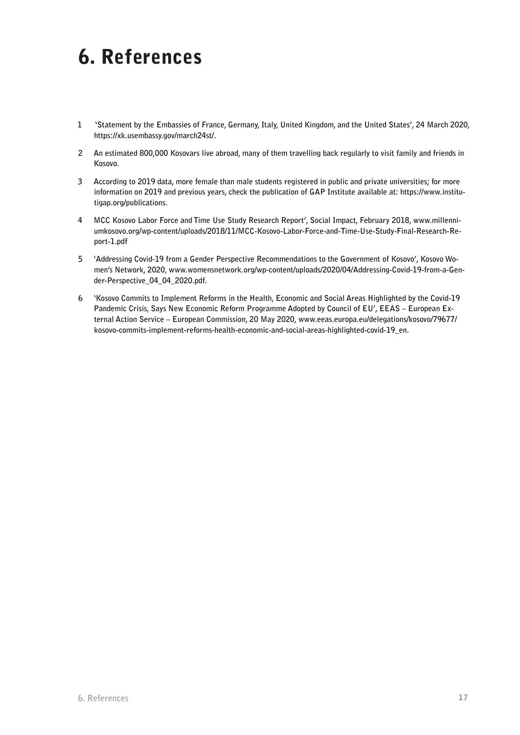# 6. References

- **1 'Statement by the Embassies of France, Germany, Italy, United Kingdom, and the United States', 24 March 2020, https://xk.usembassy.gov/march24st/.**
- **2 An estimated 800,000 Kosovars live abroad, many of them travelling back regularly to visit family and friends in Kosovo.**
- **3 According to 2019 data, more female than male students registered in public and private universities; for more information on 2019 and previous years, check the publication of GAP Institute available at: https://www.institutigap.org/publications.**
- **4 MCC Kosovo Labor Force and Time Use Study Research Report', Social Impact, February 2018, www.millenniumkosovo.org/wp-content/uploads/2018/11/MCC-Kosovo-Labor-Force-and-Time-Use-Study-Final-Research-Report-1.pdf**
- **5 'Addressing Covid-19 from a Gender Perspective Recommendations to the Government of Kosovo', Kosovo Women's Network, 2020, www.womensnetwork.org/wp-content/uploads/2020/04/Addressing-Covid-19-from-a-Gender-Perspective\_04\_04\_2020.pdf.**
- **6 'Kosovo Commits to Implement Reforms in the Health, Economic and Social Areas Highlighted by the Covid-19 Pandemic Crisis, Says New Economic Reform Programme Adopted by Council of EU', EEAS – European External Action Service – European Commission, 20 May 2020, www.eeas.europa.eu/delegations/kosovo/79677/ kosovo-commits-implement-reforms-health-economic-and-social-areas-highlighted-covid-19\_en.**